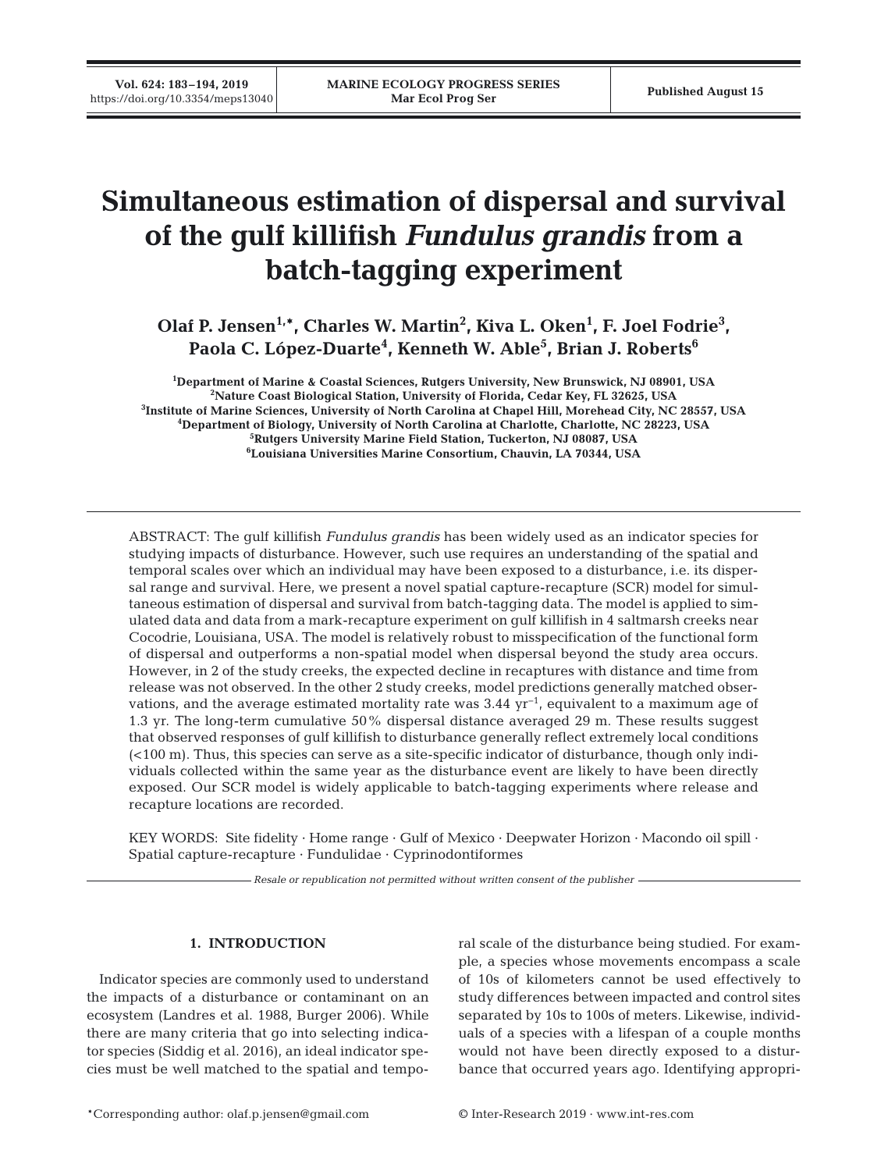# **Simultaneous estimation of dispersal and survival of the gulf killifish** *Fundulus grandis* **from a batch-tagging experiment**

Olaf P. Jensen<sup>1,\*</sup>, Charles W. Martin<sup>2</sup>, Kiva L. Oken<sup>1</sup>, F. Joel Fodrie<sup>3</sup>, **Paola C. López-Duarte4 , Kenneth W. Able5 , Brian J. Roberts6**

 **Department of Marine & Coastal Sciences, Rutgers University, New Brunswick, NJ 08901, USA Nature Coast Biological Station, University of Florida, Cedar Key, FL 32625, USA Institute of Marine Sciences, University of North Carolina at Chapel Hill, Morehead City, NC 28557, USA Department of Biology, University of North Carolina at Charlotte, Charlotte, NC 28223, USA Rutgers University Marine Field Station, Tuckerton, NJ 08087, USA Louisiana Universities Marine Consortium, Chauvin, LA 70344, USA**

ABSTRACT: The gulf killifish *Fundulus grandis* has been widely used as an indicator species for studying impacts of disturbance. However, such use requires an understanding of the spatial and temporal scales over which an individual may have been exposed to a disturbance, i.e. its dispersal range and survival. Here, we present a novel spatial capture-recapture (SCR) model for simultaneous estimation of dispersal and survival from batch-tagging data. The model is applied to simulated data and data from a mark-recapture experiment on gulf killifish in 4 saltmarsh creeks near Cocodrie, Louisiana, USA. The model is relatively robust to misspecification of the functional form of dispersal and outperforms a non-spatial model when dispersal beyond the study area occurs. However, in 2 of the study creeks, the expected decline in recaptures with distance and time from release was not observed. In the other 2 study creeks, model predictions generally matched observations, and the average estimated mortality rate was 3.44 yr−1, equivalent to a maximum age of 1.3 yr. The long-term cumulative 50% dispersal distance averaged 29 m. These results suggest that observed responses of gulf killifish to disturbance generally reflect extremely local conditions (<100 m). Thus, this species can serve as a site-specific indicator of disturbance, though only individuals collected within the same year as the disturbance event are likely to have been directly exposed. Our SCR model is widely applicable to batch-tagging experiments where release and recapture locations are recorded.

KEY WORDS: Site fidelity · Home range · Gulf of Mexico · Deepwater Horizon · Macondo oil spill · Spatial capture-recapture · Fundulidae · Cyprinodontiformes

*Resale or republication not permitted without written consent of the publisher*

# **1. INTRODUCTION**

Indicator species are commonly used to understand the impacts of a disturbance or contaminant on an ecosystem (Landres et al. 1988, Burger 2006). While there are many criteria that go into selecting indicator species (Siddig et al. 2016), an ideal indicator species must be well matched to the spatial and temporal scale of the disturbance being studied. For example, a species whose movements encompass a scale of 10s of kilometers cannot be used effectively to study differences between impacted and control sites separated by 10s to 100s of meters. Likewise, individuals of a species with a lifespan of a couple months would not have been directly exposed to a disturbance that occurred years ago. Identifying appropri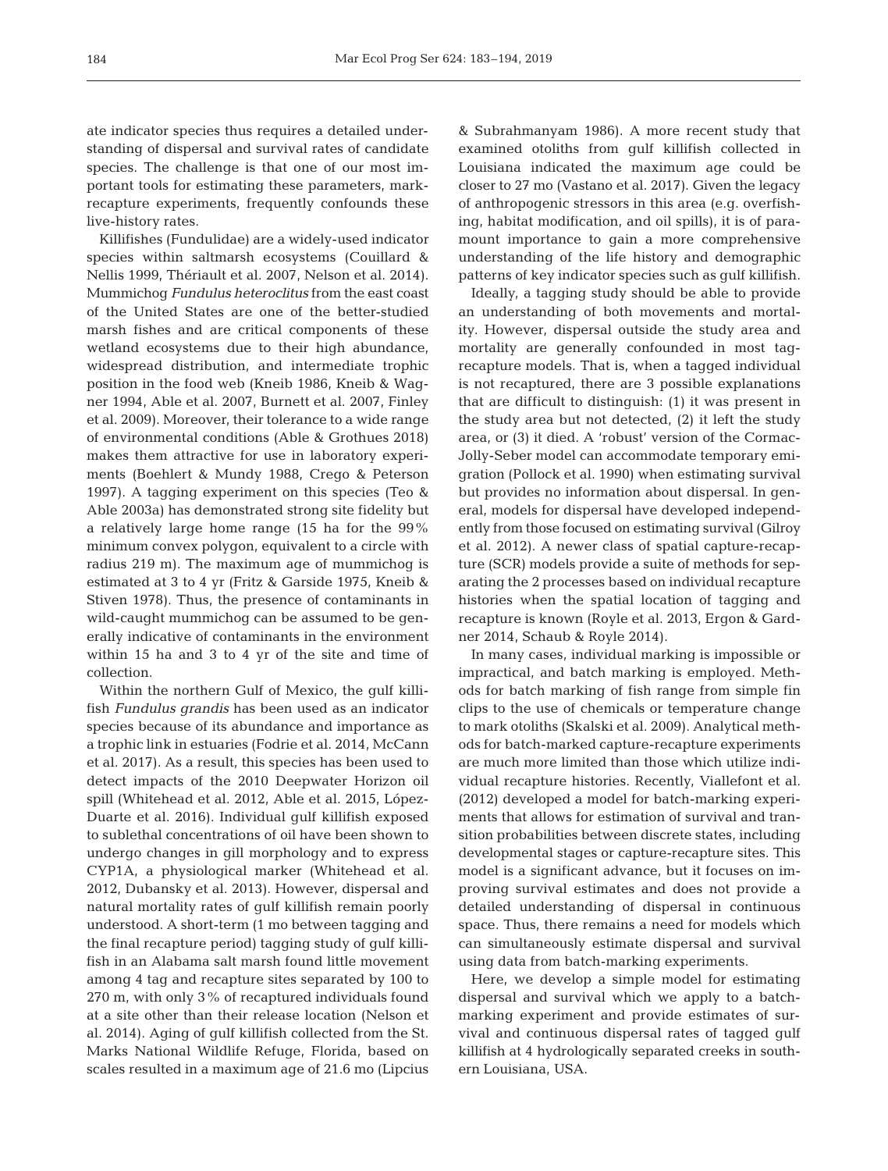ate indicator species thus requires a detailed understanding of dispersal and survival rates of candidate species. The challenge is that one of our most im portant tools for estimating these parameters, markrecapture experiments, frequently confounds these live-history rates.

Killifishes (Fundulidae) are a widely-used indicator species within saltmarsh ecosystems (Couillard & Nellis 1999, Thériault et al. 2007, Nelson et al. 2014). Mummichog *Fundulus heteroclitus* from the east coast of the United States are one of the better- studied marsh fishes and are critical components of these wetland ecosystems due to their high abundance, widespread distribution, and intermediate trophic position in the food web (Kneib 1986, Kneib & Wagner 1994, Able et al. 2007, Burnett et al. 2007, Finley et al. 2009). Moreover, their tolerance to a wide range of environmental conditions (Able & Grothues 2018) makes them attractive for use in laboratory experiments (Boehlert & Mundy 1988, Crego & Peterson 1997). A tagging experiment on this species (Teo & Able 2003a) has demonstrated strong site fidelity but a relatively large home range (15 ha for the 99% minimum convex polygon, equivalent to a circle with radius 219 m). The maximum age of mummichog is estimated at 3 to 4 yr (Fritz & Garside 1975, Kneib & Stiven 1978). Thus, the presence of contaminants in wild-caught mummichog can be assumed to be generally indicative of contaminants in the environment within 15 ha and 3 to 4 yr of the site and time of collection.

Within the northern Gulf of Mexico, the gulf killifish *Fundulus grandis* has been used as an indicator species because of its abundance and importance as a trophic link in estuaries (Fodrie et al. 2014, McCann et al. 2017). As a result, this species has been used to detect impacts of the 2010 Deepwater Horizon oil spill (Whitehead et al. 2012, Able et al. 2015, López-Duarte et al. 2016). Individual gulf killifish exposed to sublethal concentrations of oil have been shown to undergo changes in gill morphology and to express CYP1A, a physiological marker (Whitehead et al. 2012, Dubansky et al. 2013). However, dispersal and natural mortality rates of gulf killifish remain poorly understood. A short-term (1 mo between tagging and the final recapture period) tagging study of gulf killifish in an Alabama salt marsh found little movement among 4 tag and recapture sites separated by 100 to 270 m, with only 3% of recaptured individuals found at a site other than their release location (Nelson et al. 2014). Aging of gulf killifish collected from the St. Marks National Wildlife Refuge, Florida, based on scales resulted in a maximum age of 21.6 mo (Lipcius

& Subrahmanyam 1986). A more recent study that examined otoliths from gulf killifish collected in Louisiana indicated the maximum age could be closer to 27 mo (Vastano et al. 2017). Given the legacy of anthropogenic stressors in this area (e.g. overfishing, habitat modification, and oil spills), it is of paramount importance to gain a more comprehensive understanding of the life history and demographic patterns of key indicator species such as gulf killifish.

Ideally, a tagging study should be able to provide an understanding of both movements and mortality. However, dispersal outside the study area and mortality are generally confounded in most tagrecapture models. That is, when a tagged individual is not recaptured, there are 3 possible explanations that are difficult to distinguish: (1) it was present in the study area but not detected, (2) it left the study area, or (3) it died. A 'robust' version of the Cormac-Jolly-Seber model can accommodate temporary emigration (Pollock et al. 1990) when estimating survival but provides no information about dispersal. In general, models for dispersal have developed independently from those focused on estimating survival (Gilroy et al. 2012). A newer class of spatial capture-recapture (SCR) models provide a suite of methods for separating the 2 processes based on individual recapture histories when the spatial location of tagging and recapture is known (Royle et al. 2013, Ergon & Gardner 2014, Schaub & Royle 2014).

In many cases, individual marking is impossible or impractical, and batch marking is employed. Methods for batch marking of fish range from simple fin clips to the use of chemicals or temperature change to mark otoliths (Skalski et al. 2009). Analytical methods for batch-marked capture-recapture experiments are much more limited than those which utilize individual recapture histories. Recently, Viallefont et al. (2012) developed a model for batch-marking experiments that allows for estimation of survival and transition probabilities between discrete states, including developmental stages or capture-recapture sites. This model is a significant advance, but it focuses on im proving survival estimates and does not provide a detailed understanding of dispersal in continuous space. Thus, there remains a need for models which can simultaneously estimate dispersal and survival using data from batch-marking experiments.

Here, we develop a simple model for estimating dispersal and survival which we apply to a batchmarking experiment and provide estimates of survival and continuous dispersal rates of tagged gulf killifish at 4 hydrologically separated creeks in southern Louisiana, USA.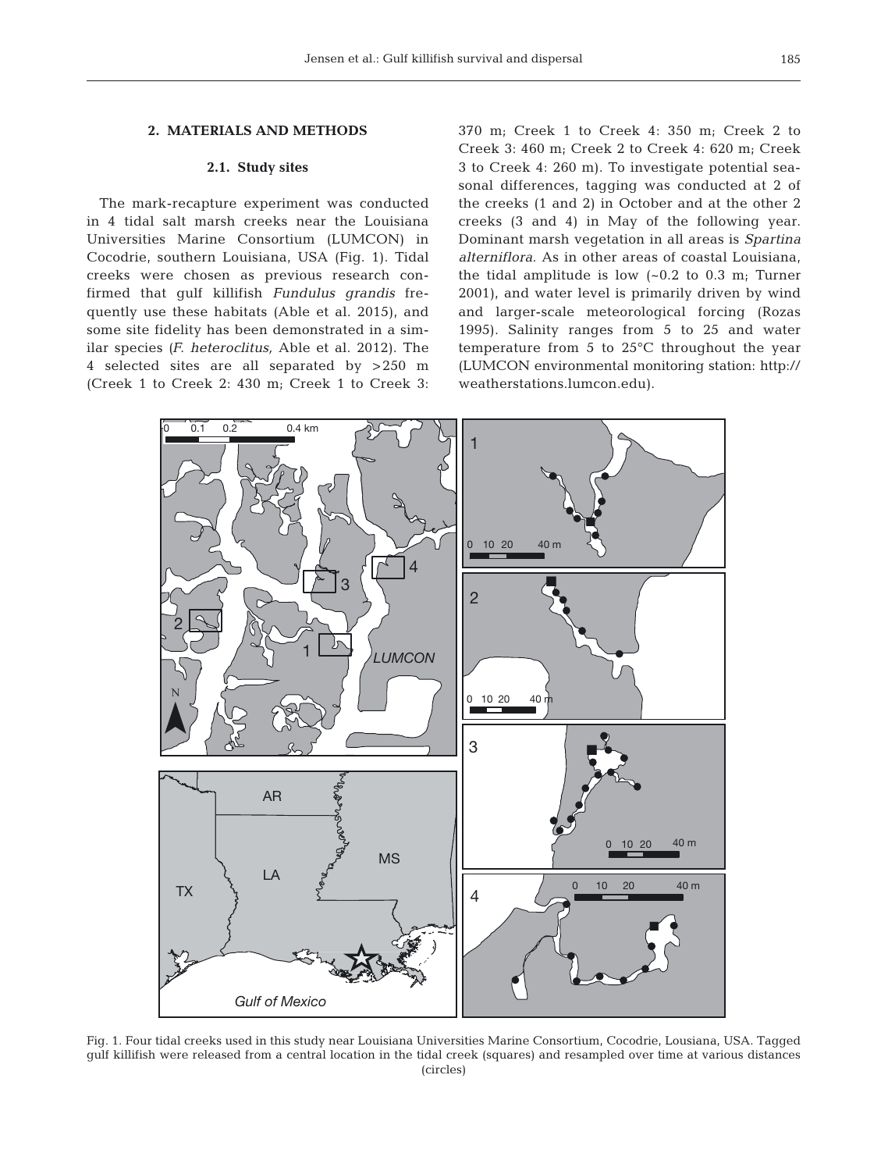# **2. MATERIALS AND METHODS**

## **2.1. Study sites**

The mark-recapture experiment was conducted in 4 tidal salt marsh creeks near the Louisiana Universities Marine Consortium (LUMCON) in Cocodrie, southern Louisiana, USA (Fig. 1). Tidal creeks were chosen as previous research confirmed that gulf killifish *Fundulus grandis* frequently use these habitats (Able et al. 2015), and some site fidelity has been demonstrated in a similar species *(F. heteroclitus,* Able et al. 2012). The 4 selected sites are all separated by >250 m (Creek 1 to Creek 2: 430 m; Creek 1 to Creek 3: 370 m; Creek 1 to Creek 4: 350 m; Creek 2 to Creek 3: 460 m; Creek 2 to Creek 4: 620 m; Creek 3 to Creek 4: 260 m). To investigate potential seasonal differences, tagging was conducted at 2 of the creeks (1 and 2) in October and at the other 2 creeks (3 and 4) in May of the following year. Dominant marsh vegetation in all areas is *Spartina alterniflora*. As in other areas of coastal Louisiana, the tidal amplitude is low  $(-0.2 \text{ to } 0.3 \text{ m})$ ; Turner 2001), and water level is primarily driven by wind and larger-scale meteorological forcing (Rozas 1995). Salinity ranges from 5 to 25 and water temperature from 5 to 25°C throughout the year (LUMCON environmental monitoring station: http:// weatherstations. lumcon. edu).



Fig. 1. Four tidal creeks used in this study near Louisiana Universities Marine Consortium, Cocodrie, Lousiana, USA. Tagged gulf killifish were released from a central location in the tidal creek (squares) and resampled over time at various distances (circles)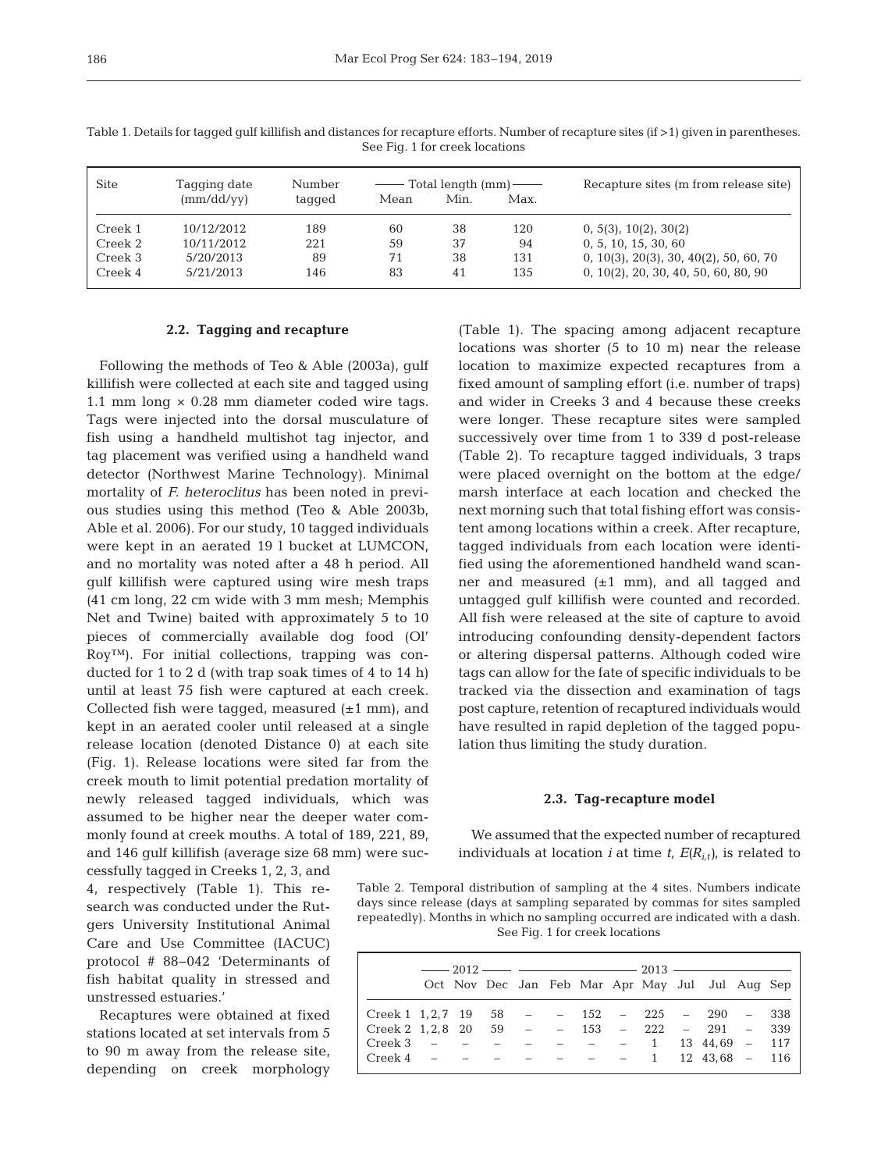| Site    | Tagging date                    | Number |      | $\equiv$ Total length $\equiv$ |      | Recapture sites (m from release site)    |
|---------|---------------------------------|--------|------|--------------------------------|------|------------------------------------------|
|         | $\text{mm}/\text{dd}/\text{vv}$ | tagged | Mean | Min.                           | Max. |                                          |
| Creek 1 | 10/12/2012                      | 189    | 60   | 38                             | 120  | 0, 5(3), 10(2), 30(2)                    |
| Creek 2 | 10/11/2012                      | 221    | 59   | 37                             | 94   | 0, 5, 10, 15, 30, 60                     |
| Creek 3 | 5/20/2013                       | 89     | 71   | 38                             | 131  | $0, 10(3), 20(3), 30, 40(2), 50, 60, 70$ |
| Creek 4 | 5/21/2013                       | 146    | 83   | 41                             | 135  | 0, 10(2), 20, 30, 40, 50, 60, 80, 90     |

Table 1. Details for tagged gulf killifish and distances for recapture efforts. Number of recapture sites (if >1) given in parentheses. See Fig. 1 for creek locations

#### **2.2. Tagging and recapture**

Following the methods of Teo & Able (2003a), gulf killifish were collected at each site and tagged using 1.1 mm long × 0.28 mm diameter coded wire tags. Tags were injected into the dorsal musculature of fish using a handheld multishot tag injector, and tag placement was verified using a handheld wand detector (Northwest Marine Technology). Minimal mortality of *F. heteroclitus* has been noted in previous studies using this method (Teo & Able 2003b, Able et al. 2006). For our study, 10 tagged individuals were kept in an aerated 19 l bucket at LUMCON, and no mortality was noted after a 48 h period. All gulf killifish were captured using wire mesh traps (41 cm long, 22 cm wide with 3 mm mesh; Memphis Net and Twine) baited with approximately 5 to 10 pieces of commercially available dog food (Ol' Roy™). For initial collections, trapping was conducted for 1 to 2 d (with trap soak times of 4 to 14 h) until at least 75 fish were captured at each creek. Collected fish were tagged, measured  $(\pm 1 \text{ mm})$ , and kept in an aerated cooler until released at a single release location (denoted Distance 0) at each site (Fig. 1). Release locations were sited far from the creek mouth to limit potential predation mortality of newly released tagged individuals, which was assumed to be higher near the deeper water commonly found at creek mouths. A total of 189, 221, 89, and 146 gulf killifish (average size 68 mm) were suc-

cessfully tagged in Creeks 1, 2, 3, and 4, respectively (Table 1). This re search was conducted under the Rutgers University Institutional Animal Care and Use Committee (IACUC) protocol # 88−042 'Determinants of fish habitat quality in stressed and unstressed estuaries.'

Recaptures were obtained at fixed stations located at set intervals from 5 to 90 m away from the release site, depending on creek morphology (Table 1). The spacing among adjacent recapture locations was shorter (5 to 10 m) near the release location to maximize expected recaptures from a fixed amount of sampling effort (i.e. number of traps) and wider in Creeks 3 and 4 because these creeks were longer. These recapture sites were sampled successively over time from 1 to 339 d post-release (Table 2). To recapture tagged individuals, 3 traps were placed overnight on the bottom at the edge/ marsh interface at each location and checked the next morning such that total fishing effort was consistent among locations within a creek. After recapture, tagged individuals from each location were identified using the aforementioned handheld wand scanner and measured  $(\pm 1 \text{ mm})$ , and all tagged and untagged gulf killifish were counted and recorded. All fish were released at the site of capture to avoid introducing confounding density-dependent factors or altering dispersal patterns. Although coded wire tags can allow for the fate of specific individuals to be tracked via the dissection and examination of tags post capture, retention of recaptured individuals would have resulted in rapid depletion of the tagged population thus limiting the study duration.

#### **2.3. Tag-recapture model**

We assumed that the expected number of recaptured individuals at location *i* at time  $t$ ,  $E(R_{i,t})$ , is related to

Table 2. Temporal distribution of sampling at the 4 sites. Numbers indicate days since release (days at sampling separated by commas for sites sampled repeatedly). Months in which no sampling occurred are indicated with a dash. See Fig. 1 for creek locations

|                                                         |  |  |  |  | $-2012 \rightarrow -$<br>Oct Nov Dec Jan Feb Mar Apr May Jul Jul Aug Sep |  |
|---------------------------------------------------------|--|--|--|--|--------------------------------------------------------------------------|--|
| Creek 1 1, 2, 7 19 58 - - 152 - 225 - 290 - 338         |  |  |  |  |                                                                          |  |
| $\vert$ Creek 2 1, 2, 8 20 59 - - 153 - 222 - 291 - 339 |  |  |  |  |                                                                          |  |
| Creek 3 - - - - - - - 1 13 44,69 - 117                  |  |  |  |  |                                                                          |  |
| $\vert$ Creek 4 - - - - - - - 1 12 43,68 - 116          |  |  |  |  |                                                                          |  |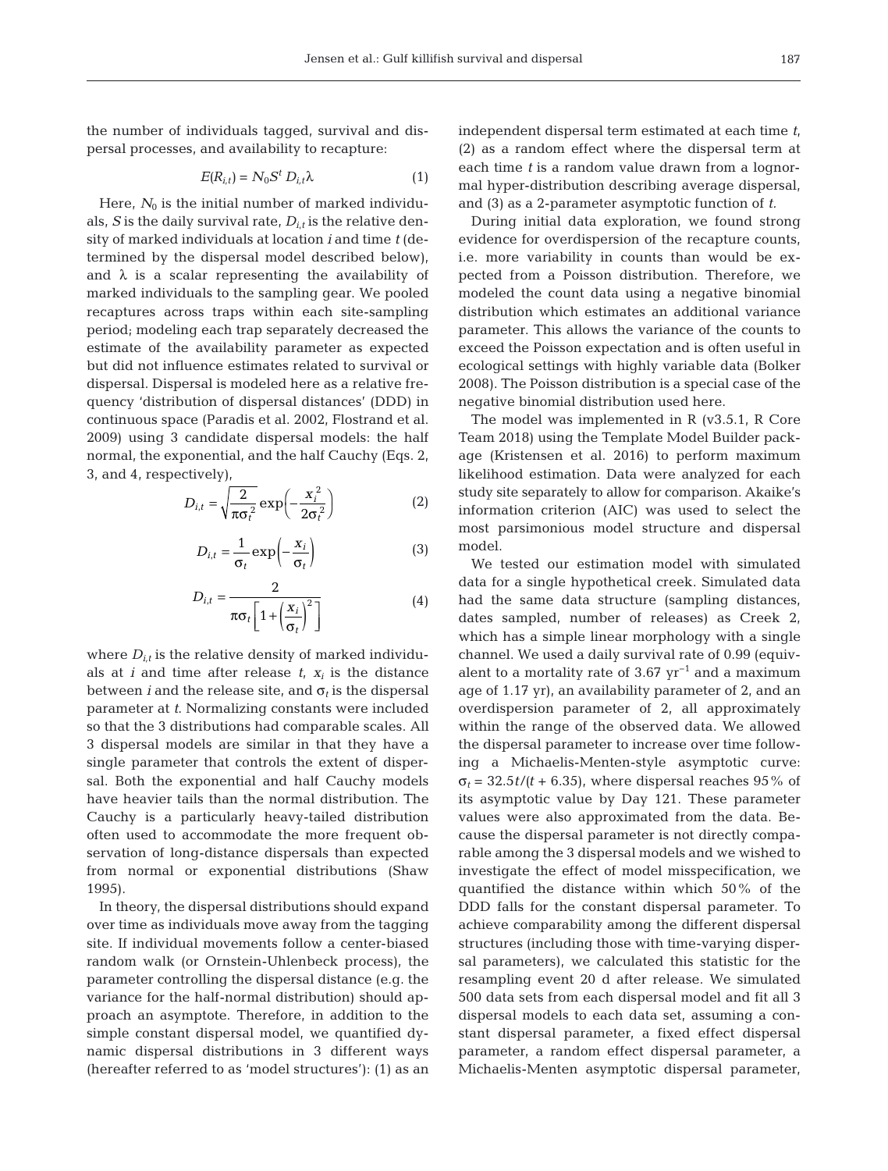the number of individuals tagged, survival and dispersal processes, and availability to recapture:

$$
E(R_{i,t}) = N_0 S^t D_{i,t} \lambda \tag{1}
$$

Here,  $N_0$  is the initial number of marked individuals, *S* is the daily survival rate,  $D_{i,t}$  is the relative density of marked individuals at location *i* and time *t* (de termined by the dispersal model described below), and  $\lambda$  is a scalar representing the availability of marked individuals to the sampling gear. We pooled recaptures across traps within each site-sampling period; modeling each trap separately decreased the estimate of the availability parameter as expected but did not influence estimates related to survival or dispersal. Dispersal is modeled here as a relative frequency 'distribution of dispersal distances' (DDD) in continuous space (Paradis et al. 2002, Flostrand et al. 2009) using 3 candidate dispersal models: the half normal, the exponential, and the half Cauchy (Eqs. 2, 3, and 4, respectively),

$$
D_{i,t} = \sqrt{\frac{2}{\pi \sigma_i^2}} \exp\left(-\frac{x_i^2}{2\sigma_i^2}\right)
$$
 (2)

$$
D_{i,t} = \frac{1}{\sigma_t} \exp\left(-\frac{x_i}{\sigma_t}\right) \tag{3}
$$

$$
D_{i,t} = \frac{2}{\pi \sigma_t \left[1 + \left(\frac{x_i}{\sigma_t}\right)^2\right]}
$$
 (4)

where  $D_{i,t}$  is the relative density of marked individuals at *i* and time after release  $t$ ,  $x_i$  is the distance between *i* and the release site, and  $\sigma_t$  is the dispersal parameter at *t*. Normalizing constants were included so that the 3 distributions had comparable scales. All 3 dispersal models are similar in that they have a single parameter that controls the extent of dispersal. Both the exponential and half Cauchy models have heavier tails than the normal distribution. The Cauchy is a particularly heavy-tailed distribution often used to accommodate the more frequent ob servation of long-distance dispersals than expected from normal or exponential distributions (Shaw 1995).

In theory, the dispersal distributions should expand over time as individuals move away from the tagging site. If individual movements follow a center-biased random walk (or Ornstein-Uhlenbeck process), the parameter controlling the dispersal distance (e.g. the variance for the half-normal distribution) should ap proach an asymptote. Therefore, in addition to the simple constant dispersal model, we quantified dynamic dispersal distributions in 3 different ways (hereafter referred to as 'model structures'): (1) as an independent dispersal term estimated at each time *t*, (2) as a random effect where the dispersal term at each time *t* is a random value drawn from a lognormal hyper-distribution describing average dispersal, and (3) as a 2-parameter asymptotic function of *t.*

During initial data exploration, we found strong evidence for overdispersion of the recapture counts, i.e. more variability in counts than would be expected from a Poisson distribution. Therefore, we modeled the count data using a negative binomial distribution which estimates an additional variance parameter. This allows the variance of the counts to exceed the Poisson expectation and is often useful in ecological settings with highly variable data (Bolker 2008). The Poisson distribution is a special case of the negative binomial distribution used here.

The model was implemented in R (v3.5.1, R Core Team 2018) using the Template Model Builder package (Kristensen et al. 2016) to perform maximum likelihood estimation. Data were analyzed for each study site separately to allow for comparison. Akaike's information criterion (AIC) was used to select the most parsimonious model structure and dispersal model.

We tested our estimation model with simulated data for a single hypothetical creek. Simulated data had the same data structure (sampling distances, dates sampled, number of releases) as Creek 2, which has a simple linear morphology with a single channel. We used a daily survival rate of 0.99 (equivalent to a mortality rate of 3.67  $yr^{-1}$  and a maximum age of 1.17 yr), an availability parameter of 2, and an overdispersion parameter of 2, all approximately within the range of the observed data. We allowed the dispersal parameter to increase over time following a Michaelis-Menten-style asymptotic curve:  $\sigma_t$  = 32.5*t/*(*t* + 6.35), where dispersal reaches 95% of its asymptotic value by Day 121. These parameter values were also approximated from the data. Be cause the dispersal parameter is not directly comparable among the 3 dispersal models and we wished to investigate the effect of model misspecification, we quantified the distance within which 50% of the DDD falls for the constant dispersal parameter. To achieve comparability among the different dispersal structures (including those with time-varying dispersal parameters), we calculated this statistic for the resampling event 20 d after release. We simulated 500 data sets from each dispersal model and fit all 3 dispersal models to each data set, assuming a constant dispersal parameter, a fixed effect dispersal parameter, a random effect dispersal parameter, a Michaelis-Menten asymptotic dispersal parameter,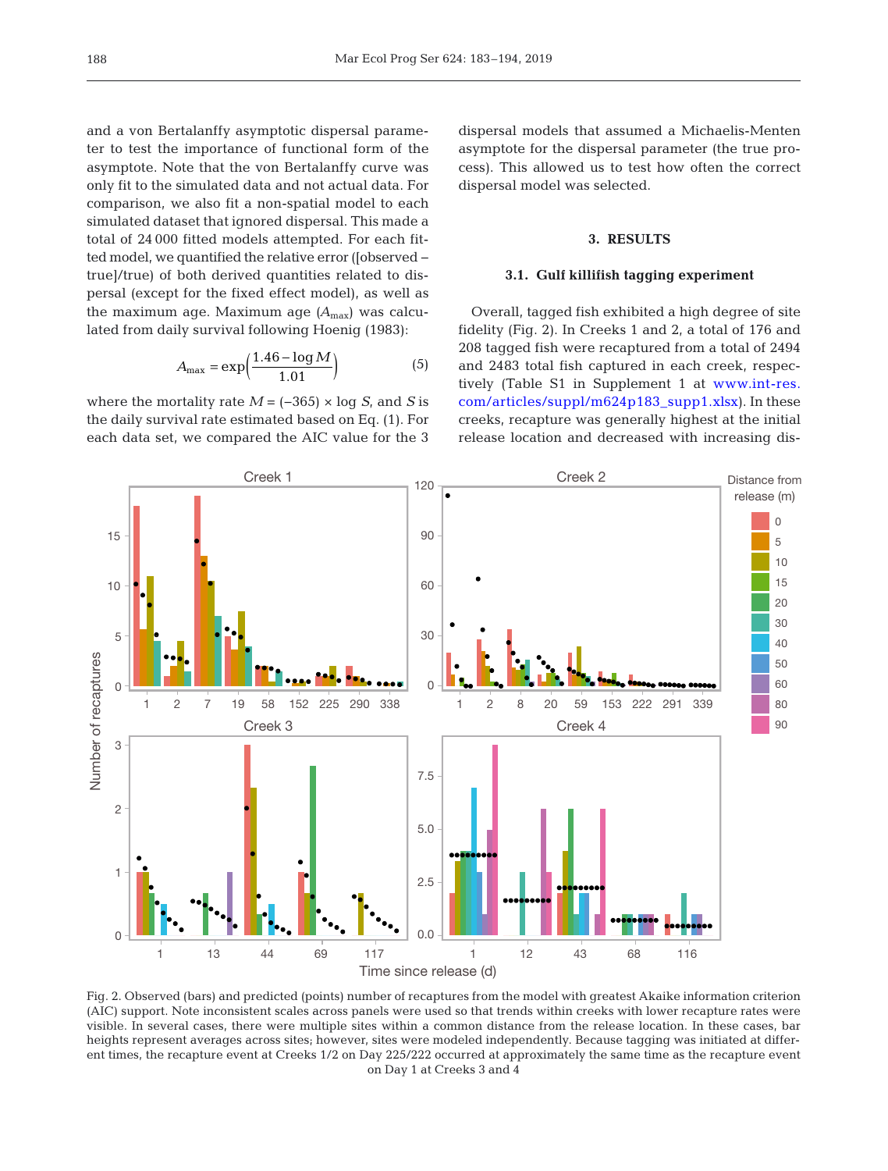and a von Bertalanffy asymptotic dispersal parameter to test the importance of functional form of the asymptote. Note that the von Bertalanffy curve was only fit to the simulated data and not actual data. For comparison, we also fit a non-spatial model to each simulated dataset that ignored dispersal. This made a total of 24 000 fitted models attempted. For each fitted model, we quantified the relative error ([observed − true]/true) of both derived quantities related to dispersal (except for the fixed effect model), as well as the maximum age. Maximum age *(A*max) was calculated from daily survival following Hoenig (1983):

$$
A_{\text{max}} = \exp\left(\frac{1.46 - \log M}{1.01}\right) \tag{5}
$$

where the mortality rate  $M = (-365) \times \log S$ , and *S* is the daily survival rate estimated based on Eq. (1). For each data set, we compared the AIC value for the 3 dispersal models that assumed a Michaelis-Menten asymptote for the dispersal parameter (the true process). This allowed us to test how often the correct dispersal model was selected.

## **3. RESULTS**

## **3.1. Gulf killifish tagging experiment**

Overall, tagged fish exhibited a high degree of site fidelity (Fig. 2). In Creeks 1 and 2, a total of 176 and 208 tagged fish were recaptured from a total of 2494 and 2483 total fish captured in each creek, respectively (Table S1 in Supplement 1 at www.int-res. com/articles/suppl/m624p183\_supp1.xlsx). In these creeks, recapture was generally highest at the initial release location and decreased with increasing dis-

> Distance from release (m) 0 5 10 15



●

Creek 1 Creek 2

120

90

●

heights represent averages across sites; however, sites were modeled independently. Because tagging was initiated at different times, the recapture event at Creeks 1/2 on Day 225/222 occurred at approximately the same time as the recapture event on Day 1 at Creeks 3 and 4

●

15

● ● ●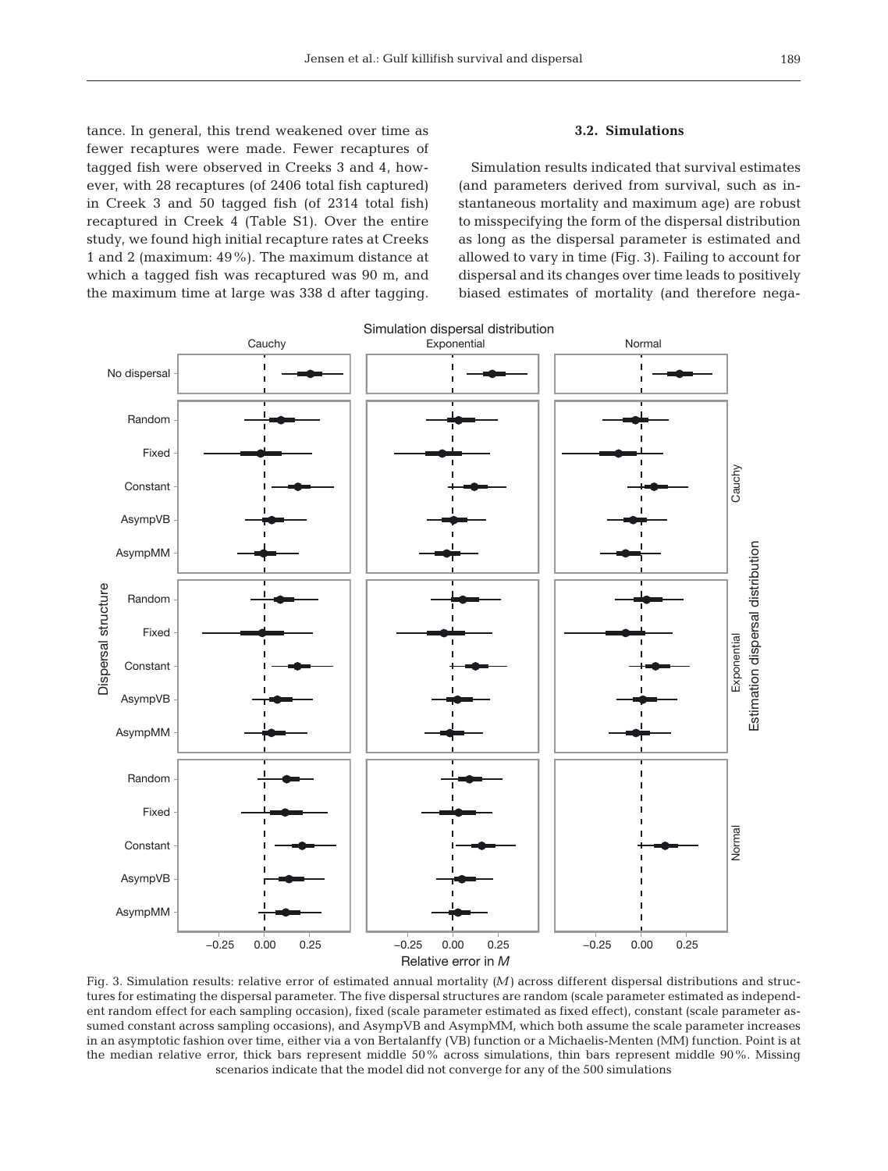tance. In general, this trend weakened over time as fewer recaptures were made. Fewer recaptures of tagged fish were observed in Creeks 3 and 4, however, with 28 recaptures (of 2406 total fish captured) in Creek 3 and 50 tagged fish (of 2314 total fish) recaptured in Creek 4 (Table S1). Over the entire study, we found high initial recapture rates at Creeks 1 and 2 (maximum: 49%). The maximum distance at which a tagged fish was recaptured was 90 m, and the maximum time at large was 338 d after tagging.

# **3.2. Simulations**

Simulation results indicated that survival estimates (and parameters derived from survival, such as in stantaneous mortality and maximum age) are robust to misspecifying the form of the dispersal distribution as long as the dispersal parameter is estimated and allowed to vary in time (Fig. 3). Failing to account for dispersal and its changes over time leads to positively biased estimates of mortality (and therefore nega-



Fig. 3. Simulation results: relative error of estimated annual mortality *(M)* across different dispersal distributions and structures for estimating the dispersal parameter. The five dispersal structures are random (scale parameter estimated as independent random effect for each sampling occasion), fixed (scale parameter estimated as fixed effect), constant (scale parameter assumed constant across sampling occasions), and AsympVB and AsympMM, which both assume the scale parameter increases in an asymptotic fashion over time, either via a von Bertalanffy (VB) function or a Michaelis-Menten (MM) function. Point is at the median relative error, thick bars represent middle 50% across simulations, thin bars represent middle 90%. Missing scenarios indicate that the model did not converge for any of the 500 simulations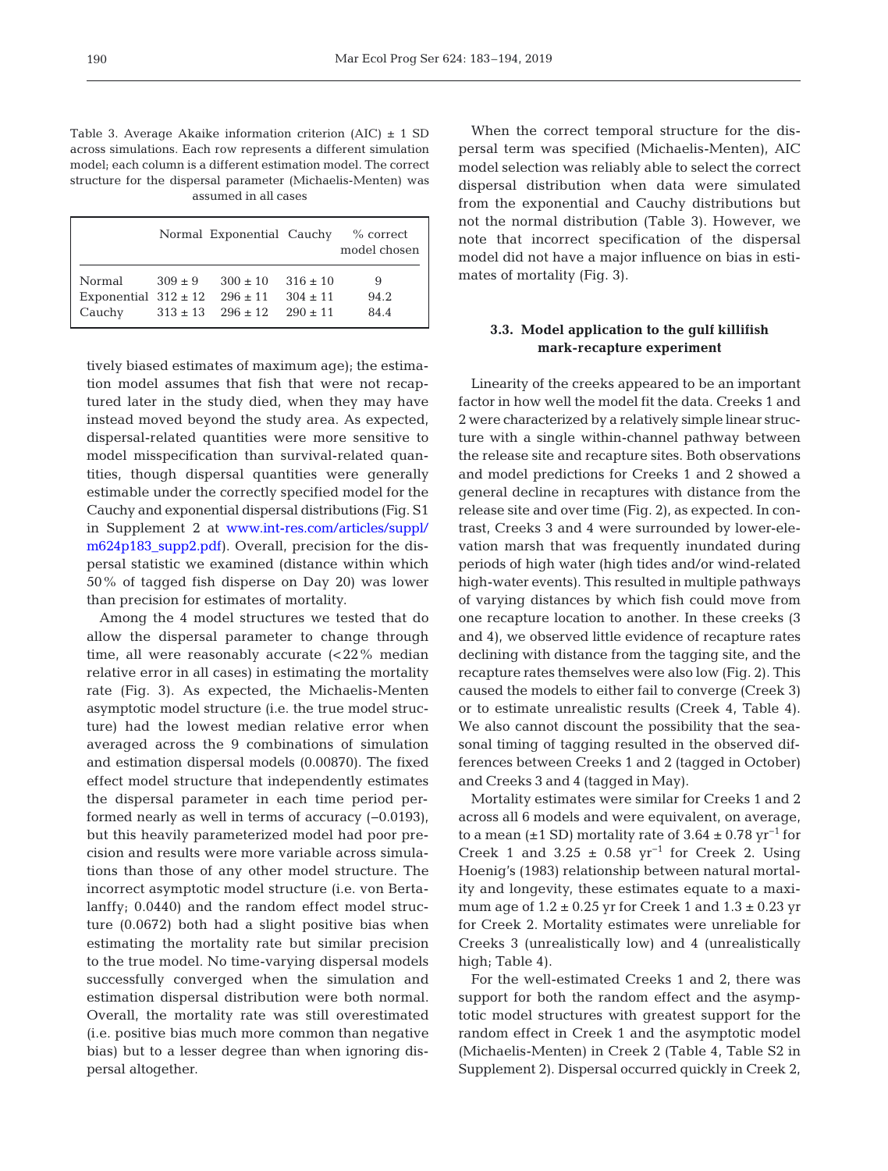Table 3. Average Akaike information criterion  $(AIC) \pm 1 SD$ across simulations. Each row represents a different simulation model; each column is a different estimation model. The correct structure for the dispersal parameter (Michaelis-Menten) was assumed in all cases

|                          |           | Normal Exponential Cauchy |              | $%$ correct<br>model chosen |
|--------------------------|-----------|---------------------------|--------------|-----------------------------|
| Normal                   | $309 + 9$ | $300 + 10$                | $316 \pm 10$ | 9                           |
| Exponential $312 \pm 12$ |           | $296 \pm 11$              | $304 \pm 11$ | 94.2                        |
| Cauchy                   |           | $313 \pm 13$ $296 \pm 12$ | $290 \pm 11$ | 84.4                        |

tively biased estimates of maximum age); the estimation model assumes that fish that were not recaptured later in the study died, when they may have instead moved beyond the study area. As expected, dispersal-related quantities were more sensitive to model misspecification than survival-related quantities, though dispersal quantities were generally estimable under the correctly specified model for the Cauchy and exponential dispersal distributions (Fig. S1 in Supplement 2 at www.int-res.com/articles/suppl/ m624p183\_supp2.pdf). Overall, precision for the dispersal statistic we examined (distance within which 50% of tagged fish disperse on Day 20) was lower than precision for estimates of mortality.

Among the 4 model structures we tested that do allow the dispersal parameter to change through time, all were reasonably accurate (<22% median relative error in all cases) in estimating the mortality rate (Fig. 3). As expected, the Michaelis-Menten asymptotic model structure (i.e. the true model structure) had the lowest median relative error when averaged across the 9 combinations of simulation and estimation dispersal models (0.00870). The fixed effect model structure that independently estimates the dispersal parameter in each time period performed nearly as well in terms of accuracy (−0.0193), but this heavily parameterized model had poor precision and results were more variable across simulations than those of any other model structure. The incorrect asymptotic model structure (i.e. von Bertalanffy; 0.0440) and the random effect model structure (0.0672) both had a slight positive bias when estimating the mortality rate but similar precision to the true model. No time-varying dispersal models successfully converged when the simulation and estimation dispersal distribution were both normal. Overall, the mortality rate was still overestimated (i.e. positive bias much more common than negative bias) but to a lesser degree than when ignoring dispersal altogether.

When the correct temporal structure for the dispersal term was specified (Michaelis-Menten), AIC model selection was reliably able to select the correct dispersal distribution when data were simulated from the exponential and Cauchy distributions but not the normal distribution (Table 3). However, we note that incorrect specification of the dispersal model did not have a major influence on bias in estimates of mortality (Fig. 3).

## **3.3. Model application to the gulf killifish mark-recapture experiment**

Linearity of the creeks appeared to be an important factor in how well the model fit the data. Creeks 1 and 2 were characterized by a relatively simple linear structure with a single within-channel pathway between the release site and recapture sites. Both observations and model predictions for Creeks 1 and 2 showed a general decline in recaptures with distance from the release site and over time (Fig. 2), as expected. In contrast, Creeks 3 and 4 were surrounded by lower-elevation marsh that was frequently inundated during periods of high water (high tides and/or wind-related high-water events). This resulted in multiple pathways of varying distances by which fish could move from one recapture location to another. In these creeks (3 and 4), we observed little evidence of recapture rates declining with distance from the tagging site, and the recapture rates themselves were also low (Fig. 2). This caused the models to either fail to converge (Creek 3) or to estimate unrealistic results (Creek 4, Table 4). We also cannot discount the possibility that the seasonal timing of tagging resulted in the observed differences between Creeks 1 and 2 (tagged in October) and Creeks 3 and 4 (tagged in May).

Mortality estimates were similar for Creeks 1 and 2 across all 6 models and were equivalent, on average, to a mean ( $\pm$ 1 SD) mortality rate of 3.64  $\pm$  0.78 yr<sup>-1</sup> for Creek 1 and 3.25  $\pm$  0.58 yr<sup>-1</sup> for Creek 2. Using Hoenig's (1983) relationship between natural mortality and longevity, these estimates equate to a maximum age of  $1.2 \pm 0.25$  yr for Creek 1 and  $1.3 \pm 0.23$  yr for Creek 2. Mortality estimates were unreliable for Creeks 3 (unrealistically low) and 4 (unrealistically high; Table 4).

For the well-estimated Creeks 1 and 2, there was support for both the random effect and the asymptotic model structures with greatest support for the random effect in Creek 1 and the asymptotic model (Michaelis-Menten) in Creek 2 (Table 4, Table S2 in Supplement 2). Dispersal occurred quickly in Creek 2,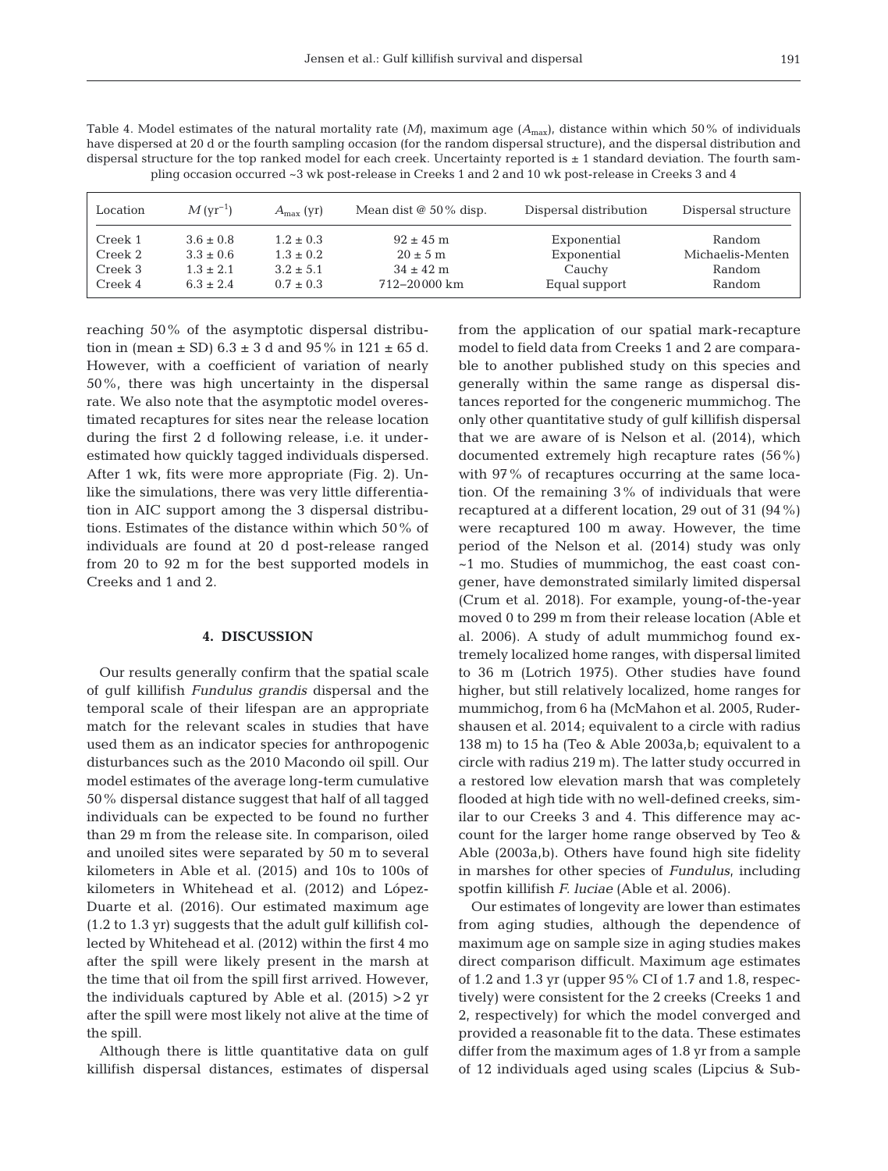| pling occasion occurred ~3 wk post-release in Creeks 1 and 2 and 10 wk post-release in Creeks 3 and 4 |                    |                    |                              |                        |                     |  |  |  |
|-------------------------------------------------------------------------------------------------------|--------------------|--------------------|------------------------------|------------------------|---------------------|--|--|--|
| Location                                                                                              | $M\rm\, (yr^{-1})$ | $A_{\rm max}$ (yr) | Mean dist $\omega$ 50% disp. | Dispersal distribution | Dispersal structure |  |  |  |
| Creek 1                                                                                               | $3.6 \pm 0.8$      | $1.2 \pm 0.3$      | $92 \pm 45$ m                | Exponential            | Random              |  |  |  |
| Creek 2                                                                                               | $3.3 \pm 0.6$      | $1.3 \pm 0.2$      | $20 \pm 5$ m                 | Exponential            | Michaelis-Menten    |  |  |  |
| Creek 3                                                                                               | $1.3 \pm 2.1$      | $3.2 \pm 5.1$      | $34 \pm 42$ m                | Cauchy                 | Random              |  |  |  |

Creek 4 6.3 ± 2.4 0.7 ± 0.3 712−20000 km Equal support Random

Table 4. Model estimates of the natural mortality rate  $(M)$ , maximum age  $(A_{\text{max}})$ , distance within which 50% of individuals have dispersed at 20 d or the fourth sampling occasion (for the random dispersal structure), and the dispersal distribution and dispersal structure for the top ranked model for each creek. Uncertainty reported is  $\pm$  1 standard deviation. The fourth sam-

reaching 50% of the asymptotic dispersal distribution in (mean  $\pm$  SD) 6.3  $\pm$  3 d and 95% in 121  $\pm$  65 d. However, with a coefficient of variation of nearly 50%, there was high uncertainty in the dispersal rate. We also note that the asymptotic model overestimated recaptures for sites near the release location during the first 2 d following release, i.e. it under estimated how quickly tagged individuals dispersed. After 1 wk, fits were more appropriate (Fig. 2). Un like the simulations, there was very little differentiation in AIC support among the 3 dispersal distributions. Estimates of the distance within which 50% of individuals are found at 20 d post-release ranged from 20 to 92 m for the best supported models in Creeks and 1 and 2.

### **4. DISCUSSION**

Our results generally confirm that the spatial scale of gulf killifish *Fundulus grandis* dispersal and the temporal scale of their lifespan are an appropriate match for the relevant scales in studies that have used them as an indicator species for anthropogenic disturbances such as the 2010 Macondo oil spill. Our model estimates of the average long-term cumulative 50% dispersal distance suggest that half of all tagged individuals can be expected to be found no further than 29 m from the release site. In comparison, oiled and unoiled sites were separated by 50 m to several kilometers in Able et al. (2015) and 10s to 100s of kilometers in Whitehead et al. (2012) and López-Duarte et al. (2016). Our estimated maximum age (1.2 to 1.3 yr) suggests that the adult gulf killifish collected by Whitehead et al. (2012) within the first 4 mo after the spill were likely present in the marsh at the time that oil from the spill first arrived. However, the individuals captured by Able et al. (2015) >2 yr after the spill were most likely not alive at the time of the spill.

Although there is little quantitative data on gulf killifish dispersal distances, estimates of dispersal from the application of our spatial mark-recapture model to field data from Creeks 1 and 2 are comparable to another published study on this species and generally within the same range as dispersal distances reported for the congeneric mummichog. The only other quantitative study of gulf killifish dispersal that we are aware of is Nelson et al. (2014), which documented extremely high recapture rates (56%) with 97% of recaptures occurring at the same location. Of the remaining 3% of individuals that were recaptured at a different location, 29 out of 31 (94%) were recaptured 100 m away. However, the time period of the Nelson et al. (2014) study was only ~1 mo. Studies of mummichog, the east coast congener, have demonstrated similarly limited dispersal (Crum et al. 2018). For example, young-of-the-year moved 0 to 299 m from their release location (Able et al. 2006). A study of adult mummichog found extremely localized home ranges, with dispersal limited to 36 m (Lotrich 1975). Other studies have found higher, but still relatively localized, home ranges for mummichog, from 6 ha (McMahon et al. 2005, Rudershausen et al. 2014; equivalent to a circle with radius 138 m) to 15 ha (Teo & Able 2003a,b; equivalent to a circle with radius 219 m). The latter study occurred in a restored low elevation marsh that was completely flooded at high tide with no well-defined creeks, similar to our Creeks 3 and 4. This difference may account for the larger home range observed by Teo & Able (2003a,b). Others have found high site fidelity in marshes for other species of *Fundulus*, including spotfin killifish *F. luciae* (Able et al. 2006).

Our estimates of longevity are lower than estimates from aging studies, although the dependence of maximum age on sample size in aging studies makes direct comparison difficult. Maximum age estimates of 1.2 and 1.3 yr (upper 95% CI of 1.7 and 1.8, respectively) were consistent for the 2 creeks (Creeks 1 and 2, respectively) for which the model converged and provided a reasonable fit to the data. These estimates differ from the maximum ages of 1.8 yr from a sample of 12 individuals aged using scales (Lipcius & Sub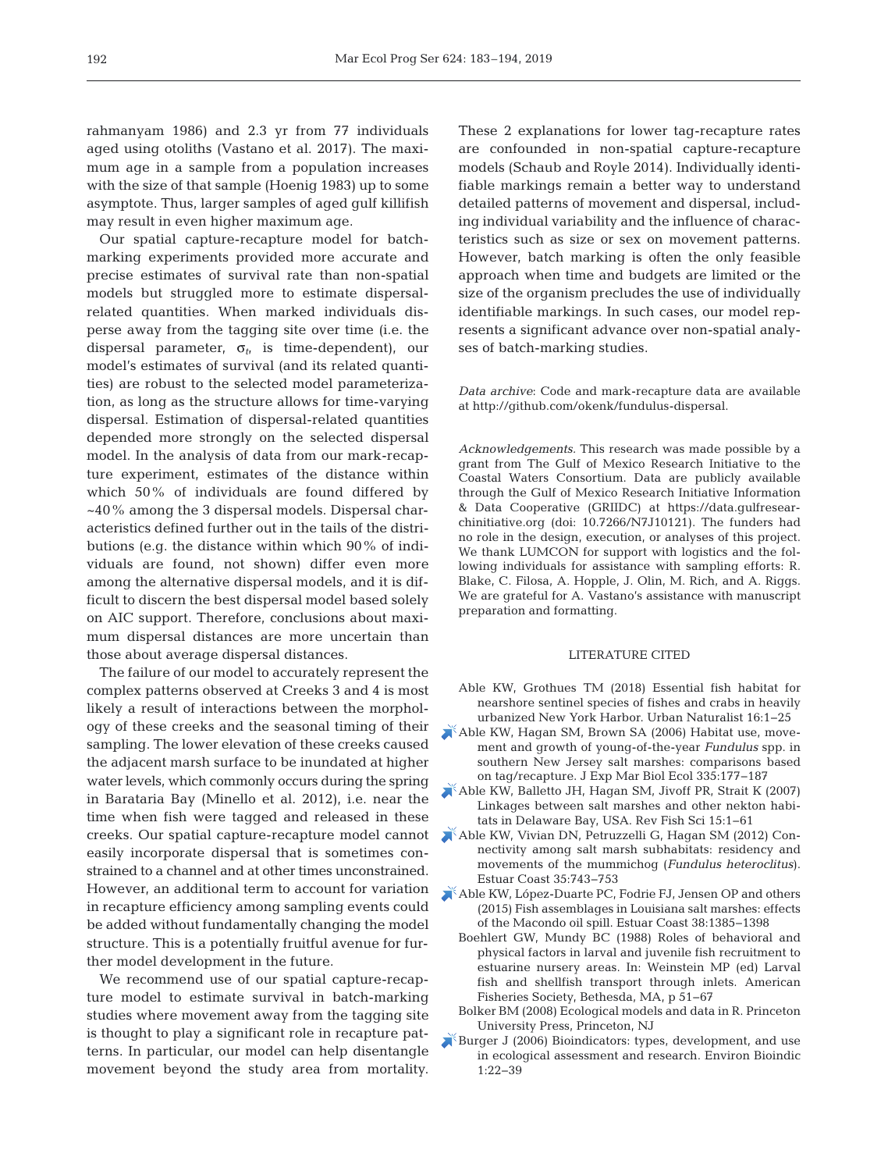rahmanyam 1986) and 2.3 yr from 77 individuals aged using otoliths (Vastano et al. 2017). The maximum age in a sample from a population increases with the size of that sample (Hoenig 1983) up to some asymptote. Thus, larger samples of aged gulf killifish may result in even higher maximum age.

Our spatial capture-recapture model for batchmarking experiments provided more accurate and precise estimates of survival rate than non-spatial models but struggled more to estimate dispersalrelated quantities. When marked individuals disperse away from the tagging site over time (i.e. the dispersal parameter, σ*t*, is time-dependent), our model's estimates of survival (and its related quantities) are robust to the selected model parameterization, as long as the structure allows for time-varying dispersal. Estimation of dispersal-related quantities depended more strongly on the selected dispersal model. In the analysis of data from our mark-recapture experiment, estimates of the distance within which 50% of individuals are found differed by ~40% among the 3 dispersal models. Dispersal characteristics defined further out in the tails of the distributions (e.g. the distance within which 90% of individuals are found, not shown) differ even more among the alternative dispersal models, and it is difficult to discern the best dispersal model based solely on AIC support. Therefore, conclusions about maximum dispersal distances are more uncertain than those about average dispersal distances.

The failure of our model to accurately represent the complex patterns observed at Creeks 3 and 4 is most likely a result of interactions between the morphology of these creeks and the seasonal timing of their sampling. The lower elevation of these creeks caused the adjacent marsh surface to be inundated at higher water levels, which commonly occurs during the spring in Barataria Bay (Minello et al. 2012), i.e. near the time when fish were tagged and released in these easily incorporate dispersal that is sometimes constrained to a channel and at other times unconstrained. However, an additional term to account for variation in recapture efficiency among sampling events could be added without fundamentally changing the model structure. This is a potentially fruitful avenue for further model development in the future.

We recommend use of our spatial capture-recapture model to estimate survival in batch-marking studies where movement away from the tagging site is thought to play a significant role in recapture patterns. In particular, our model can help disentangle movement beyond the study area from mortality. These 2 explanations for lower tag-recapture rates are confounded in non-spatial capture-recapture models (Schaub and Royle 2014). Individually identifiable markings remain a better way to understand detailed patterns of movement and dispersal, including individual variability and the influence of characteristics such as size or sex on movement patterns. However, batch marking is often the only feasible approach when time and budgets are limited or the size of the organism precludes the use of individually identifiable markings. In such cases, our model represents a significant advance over non-spatial analyses of batch-marking studies.

*Data archive*: Code and mark-recapture data are available at http://github.com/okenk/fundulus-dispersal.

*Acknowledgements.* This research was made possible by a grant from The Gulf of Mexico Research Initiative to the Coastal Waters Consortium. Data are publicly available through the Gulf of Mexico Research Initiative Information & Data Cooperative (GRIIDC) at https://data.gulfresearchinitiative.org (doi: 10.7266/N7J10121). The funders had no role in the design, execution, or analyses of this project. We thank LUMCON for support with logistics and the following individuals for assistance with sampling efforts: R. Blake, C. Filosa, A. Hopple, J. Olin, M. Rich, and A. Riggs. We are grateful for A. Vastano's assistance with manuscript preparation and formatting.

#### LITERATURE CITED

- Able KW, Grothues TM (2018) Essential fish habitat for nearshore sentinel species of fishes and crabs in heavily urbanized New York Harbor. Urban Naturalist 16: 1−25
- [Able KW, Hagan SM, Brown SA \(2006\) Habitat use, move](https://doi.org/10.1016/j.jembe.2006.03.004)ment and growth of young-of-the-year *Fundulus* spp. in southern New Jersey salt marshes: comparisons based on tag/recapture. J Exp Mar Biol Ecol 335: 177−187
- [Able KW, Balletto JH, Hagan SM, Jivoff PR, Strait K \(2007\)](https://doi.org/10.1080/10641260600960995) Linkages between salt marshes and other nekton habitats in Delaware Bay, USA. Rev Fish Sci 15: 1−61
- creeks. Our spatial capture-recapture model cannot [Able KW, Vivian DN, Petruzzelli G, Hagan SM \(2012\) Con](https://doi.org/10.1007/s12237-011-9471-x)nectivity among salt marsh subhabitats: residency and movements of the mummichog (*Fundulus heteroclitus*). Estuar Coast 35: 743−753
	- [Able KW, López-Duarte PC, Fodrie FJ, Jensen OP and others](https://doi.org/10.1007/s12237-014-9890-6) (2015) Fish assemblages in Louisiana salt marshes: effects of the Macondo oil spill. Estuar Coast 38: 1385−1398
		- Boehlert GW, Mundy BC (1988) Roles of behavioral and physical factors in larval and juvenile fish recruitment to estuarine nursery areas. In: Weinstein MP (ed) Larval fish and shellfish transport through inlets. American Fisheries Society, Bethesda, MA, p 51−67
		- Bolker BM (2008) Ecological models and data in R. Princeton University Press, Princeton, NJ
	- $\blacktriangleright$  Burger J (2006) Bioindicators: types, development, and use in ecological assessment and research. Environ Bioindic 1: 22−39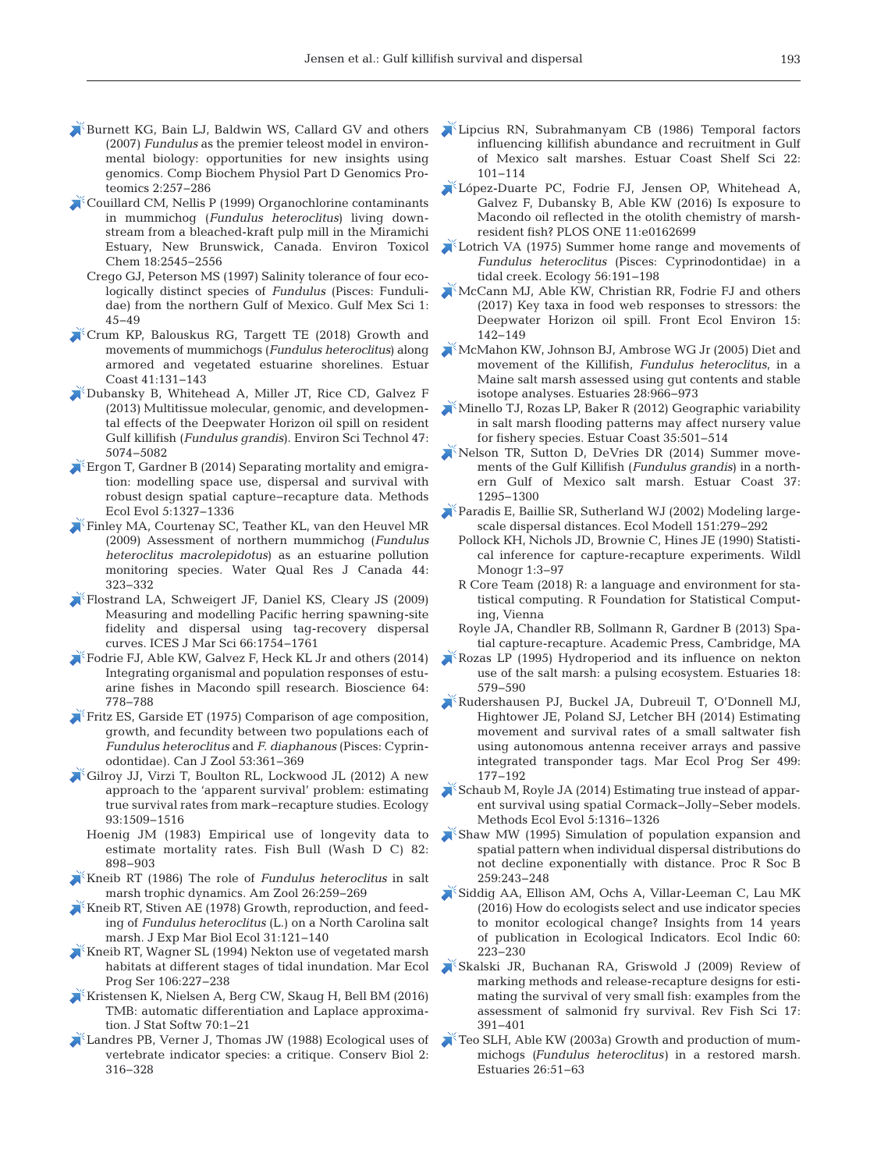- [Burnett KG, Bain LJ, Baldwin WS, Callard GV and others](https://doi.org/10.1016/j.cbd.2007.09.001) (2007) *Fundulus* as the premier teleost model in environmental biology: opportunities for new insights using genomics. Comp Biochem Physiol Part D Genomics Proteomics 2: 257−286
- [Couillard CM, Nellis P \(1999\) Organochlorine contaminants](https://doi.org/10.1002/etc.5620181123) in mummichog (*Fundulus heteroclitus*) living downstream from a bleached-kraft pulp mill in the Miramichi Estuary, New Brunswick, Canada. Environ Toxicol Chem 18:2545-2556
	- Crego GJ, Peterson MS (1997) Salinity tolerance of four ecologically distinct species of *Fundulus* (Pisces: Fundulidae) from the northern Gulf of Mexico. Gulf Mex Sci 1: 45−49
- [Crum KP, Balouskus RG, Targett TE \(2018\) Growth and](https://doi.org/10.1007/s12237-017-0299-x) movements of mummichogs (*Fundulus heteroclitus*) along armored and vegetated estuarine shorelines. Estuar Coast 41: 131−143
- [Dubansky B, Whitehead A, Miller JT, Rice CD, Galvez F](https://doi.org/10.1021/es400458p) (2013) Multitissue molecular, genomic, and developmental effects of the Deepwater Horizon oil spill on resident Gulf killifish (*Fundulus grandis*). Environ Sci Technol 47: 5074−5082
- [Ergon T, Gardner B \(2014\) Separating mortality and emigra](https://doi.org/10.1111/2041-210X.12133)tion: modelling space use, dispersal and survival with robust design spatial capture−recapture data. Methods Ecol Evol 5: 1327−1336
- [Finley MA, Courtenay SC, Teather KL, van den Heuvel MR](https://doi.org/10.2166/wqrj.2009.033) (2009) Assessment of northern mummichog (*Fundulus heteroclitus macrolepidotus*) as an estuarine pollution monitoring species. Water Qual Res J Canada 44: 323−332
- [Flostrand LA, Schweigert JF, Daniel KS, Cleary JS \(2009\)](https://doi.org/10.1093/icesjms/fsp151) Measuring and modelling Pacific herring spawning-site fidelity and dispersal using tag-recovery dispersal curves. ICES J Mar Sci 66: 1754−1761
- [Fodrie FJ, Able KW, Galvez F, Heck KL Jr and others \(2014\)](https://doi.org/10.1093/biosci/biu123) Integrating organismal and population responses of estuarine fishes in Macondo spill research. Bioscience 64: 778−788
- [Fritz ES, Garside ET \(1975\) Comparison of age composition,](https://doi.org/10.1139/z75-047) growth, and fecundity between two populations each of *Fundulus heteroclitus* and *F. diaphanous* (Pisces:Cyprinodontidae). Can J Zool 53: 361−369
- [Gilroy JJ, Virzi T, Boulton RL, Lockwood JL \(2012\) A new](https://doi.org/10.1890/12-0124.1) approach to the 'apparent survival' problem: estimating true survival rates from mark−recapture studies. Ecology 93: 1509−1516
	- Hoenig JM (1983) Empirical use of longevity data to estimate mortality rates. Fish Bull (Wash D C) 82: 898−903
- [Kneib RT \(1986\) The role of](https://doi.org/10.1093/icb/26.1.259) *Fundulus heteroclitus* in salt marsh trophic dynamics. Am Zool 26:259-269
- [Kneib RT, Stiven AE \(1978\) Growth, reproduction, and feed](https://doi.org/10.1016/0022-0981(78)90125-9)ing of *Fundulus heteroclitus* (L.) on a North Carolina salt marsh. J Exp Mar Biol Ecol 31: 121−140
- [Kneib RT, Wagner SL \(1994\) Nekton use of vegetated marsh](https://doi.org/10.3354/meps106227) habitats at different stages of tidal inundation. Mar Ecol Prog Ser 106:227–238
- [Kristensen K, Nielsen A, Berg CW, Skaug H, Bell BM \(2016\)](https://doi.org/10.18637/jss.v070.i05) TMB: automatic differentiation and Laplace approximation. J Stat Softw 70:1-21
- [Landres PB, Verner J, Thomas JW \(1988\) Ecological uses of](https://doi.org/10.1111/j.1523-1739.1988.tb00195.x) vertebrate indicator species: a critique. Conserv Biol 2: 316−328
- [Lipcius RN, Subrahmanyam CB \(1986\) Temporal factors](https://doi.org/10.1016/0272-7714(86)90026-0) influencing killifish abundance and recruitment in Gulf of Mexico salt marshes. Estuar Coast Shelf Sci 22: 101−114
- [López-Duarte PC, Fodrie FJ, Jensen OP, Whitehead A,](https://doi.org/10.1371/journal.pone.0162699) Galvez F, Dubansky B, Able KW (2016) Is exposure to Macondo oil reflected in the otolith chemistry of marshresident fish? PLOS ONE 11:e0162699
- [Lotrich VA \(1975\) Summer home range and movements of](https://doi.org/10.2307/1935311) Fundulus heteroclitus (Pisces: Cyprinodontidae) in a tidal creek. Ecology 56: 191−198
- [McCann MJ, Able KW, Christian RR, Fodrie FJ and others](https://doi.org/10.1002/fee.1474)  $(2017)$  Key taxa in food web responses to stressors: the Deepwater Horizon oil spill. Front Ecol Environ 15: 142−149
- [McMahon KW, Johnson BJ, Ambrose WG Jr \(2005\) Diet and](https://doi.org/10.1007/BF02696024) movement of the Killifish, *Fundulus heteroclitus*, in a Maine salt marsh assessed using gut contents and stable isotope analyses. Estuaries 28: 966−973
- [Minello TJ, Rozas LP, Baker R \(2012\) Geographic variability](https://doi.org/10.1007/s12237-011-9463-x) in salt marsh flooding patterns may affect nursery value for fishery species. Estuar Coast 35: 501−514
- [Nelson TR, Sutton D, DeVries DR \(2014\) Summer move](https://doi.org/10.1007/s12237-013-9762-5)ments of the Gulf Killifish (*Fundulus grandis*) in a northern Gulf of Mexico salt marsh. Estuar Coast 37: 1295−1300
- [Paradis E, Baillie SR, Sutherland WJ \(2002\) Modeling large](https://doi.org/10.1016/S0304-3800(01)00487-2)scale dispersal distances. Ecol Modell 151:279-292
	- Pollock KH, Nichols JD, Brownie C, Hines JE (1990) Statistical inference for capture-recapture experiments. Wildl Monogr 1:3-97
	- R Core Team (2018) R: a language and environment for statistical computing. R Foundation for Statistical Computing, Vienna
	- Royle JA, Chandler RB, Sollmann R, Gardner B (2013) Spatial capture-recapture. Academic Press, Cambridge, MA
- $K$ [Rozas LP \(1995\) Hydroperiod and its influence on nekton](https://doi.org/10.2307/1352378) use of the salt marsh: a pulsing ecosystem. Estuaries 18: 579−590
- [Rudershausen PJ, Buckel JA, Dubreuil T, O'Donnell MJ,](https://doi.org/10.3354/meps10656) Hightower JE, Poland SJ, Letcher BH (2014) Estimating movement and survival rates of a small saltwater fish using autonomous antenna receiver arrays and passive integrated transponder tags. Mar Ecol Prog Ser 499: 177−192
- [Schaub M, Royle JA \(2014\) Estimating true instead of appar](https://doi.org/10.1111/2041-210X.12134)ent survival using spatial Cormack−Jolly−Seber models. Methods Ecol Evol 5: 1316−1326
- [Shaw MW \(1995\) Simulation of population expansion and](https://doi.org/10.1098/rspb.1995.0036) spatial pattern when individual dispersal distributions do not decline exponentially with distance. Proc R Soc B 259: 243−248
- [Siddig AA, Ellison AM, Ochs A, Villar-Leeman C, Lau MK](https://doi.org/10.1016/j.ecolind.2015.06.036) (2016) How do ecologists select and use indicator species to monitor ecological change? Insights from 14 years of publication in Ecological Indicators. Ecol Indic 60: 223−230
- [Skalski JR, Buchanan RA, Griswold J \(2009\) Review of](https://doi.org/10.1080/10641260902752199) marking methods and release-recapture designs for estimating the survival of very small fish: examples from the assessment of salmonid fry survival. Rev Fish Sci 17: 391−401
- [Teo SLH, Able KW \(2003a\) Growth and production of mum](https://doi.org/10.1007/BF02691693)michogs *(Fundulus heteroclitus)* in a restored marsh. Estuaries 26:51-63